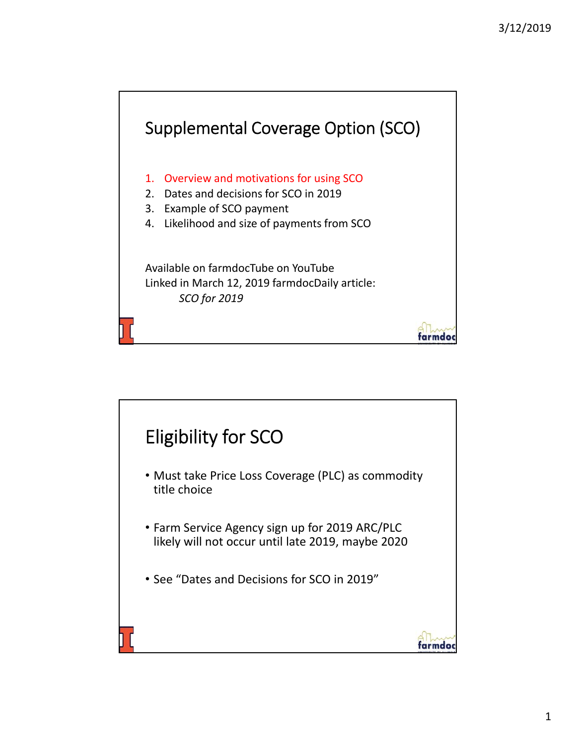

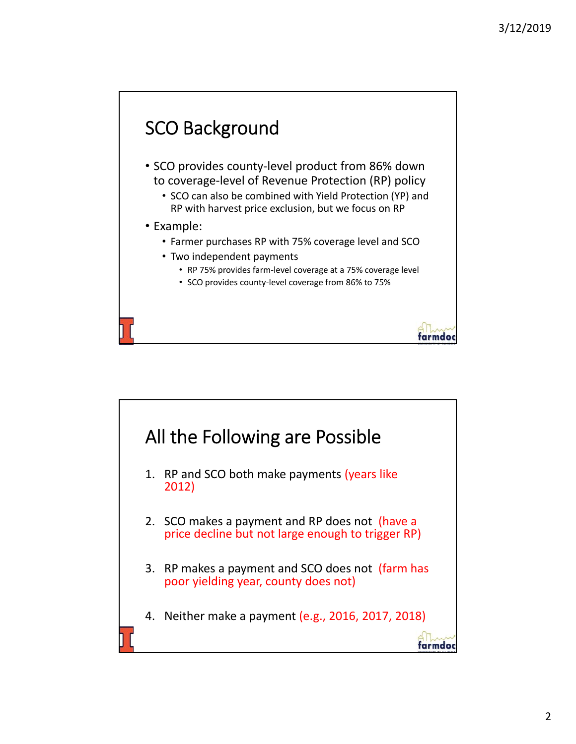

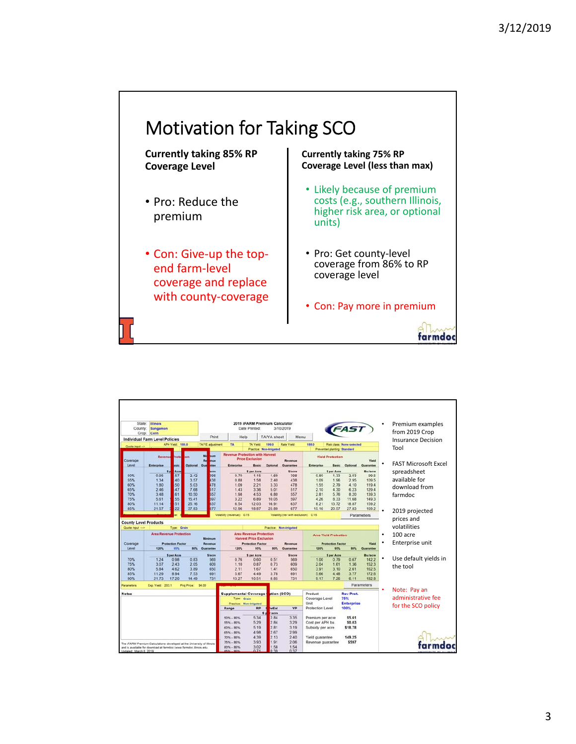## Motivation for Taking SCO

**Currently taking 85% RP Coverage Level**

- Pro: Reduce the premium
- Con: Give‐up the top‐ end farm‐level coverage and replace with county-coverage

**Currently taking 75% RP Coverage Level (less than max)**

- Likely because of premium costs (e.g., southern Illinois, higher risk area, or optional units)
- Pro: Get county‐level coverage from 86% to RP coverage level
- Con: Pay more in premium

farmdoc

| State:<br>County:            | <b>Illinois</b><br>Sangamon<br>Crop: Corn                                                                                                     |                          |                    |                                                                  |                                                      | 2019 iFARM Premium Calculator<br>Date Printed |                                | 3/10/2019                             |                                      |                                  |                                  |                    | Premium examples<br>from 2019 Crop       |
|------------------------------|-----------------------------------------------------------------------------------------------------------------------------------------------|--------------------------|--------------------|------------------------------------------------------------------|------------------------------------------------------|-----------------------------------------------|--------------------------------|---------------------------------------|--------------------------------------|----------------------------------|----------------------------------|--------------------|------------------------------------------|
|                              | <b>Individual Farm Level Policies</b>                                                                                                         |                          |                    | Print                                                            | Help                                                 |                                               | TA/YA sheet                    | Menu                                  |                                      |                                  |                                  |                    | <b>Insurance Decision</b>                |
| Quote input ->               |                                                                                                                                               | APH Yield: 188.0         |                    | <b>TA/YE</b> adjustment                                          | TA                                                   | TA Yield                                      | 199.0                          | Rate Yield                            | 188.0                                |                                  | <b>Risk class: None selected</b> |                    |                                          |
|                              |                                                                                                                                               |                          |                    |                                                                  |                                                      |                                               | <b>Practice: Non-Irrigated</b> |                                       |                                      | Prevented planting: Standard     |                                  |                    | Tool                                     |
| Coverage<br>Level            | Revenue<br><b>Enterprise</b>                                                                                                                  | Prote<br>asic            | ion.<br>Optional   | Mi<br>num<br>R.<br>nue<br>ntee<br>Gua                            | <b>Revenue Protection with Harvest</b><br>Enterprise | <b>Price Exclusion</b><br>Basic               | Optional                       | Revenue<br>Guarantee                  | Enterprise                           | <b>Yield Protection</b><br>Basic | Optional                         | Yield<br>Guarantee | <b>FAST Microsoft Excel</b><br>$\bullet$ |
|                              | 50                                                                                                                                            | Acre                     |                    | acte                                                             |                                                      | \$ per Acre                                   |                                | <b>Slacre</b>                         |                                      | \$ per Acre                      |                                  | <b>Bu</b> Jacre    |                                          |
| 50%                          | 0.95                                                                                                                                          | 57                       | 2.42               | 398                                                              | 0.70                                                 | 1.15                                          | 1.69                           | 398                                   | 0.80                                 | 1.33                             | 2.03                             | 99.5               | spreadsheet                              |
| 55%                          | 1.34                                                                                                                                          | 40                       | 3.57               | 138                                                              | 0.88                                                 | 1.58                                          | 2.40                           | 438                                   | 1.09                                 | 1.96                             | 295                              | 109.5              | available for                            |
| 60%                          | 1.80                                                                                                                                          | 50                       | 5.03               | 478                                                              | 1.09                                                 | 2.21                                          | 3.33                           | 478                                   | 1.55                                 | 2.79                             | 4.10                             | 119.4              | download from                            |
| 65%                          | 2.46                                                                                                                                          | 47                       | 7.68               | 517                                                              | 1.43                                                 | 3.36                                          | 5.01                           | 517                                   | 2.10                                 | 4.30                             | 6.23                             | 129.4              |                                          |
| 70%                          | 3.48                                                                                                                                          | 61<br>55                 | 10.50              | 557<br>597                                                       | 1.98                                                 | 4.53                                          | 6.80                           | 557                                   | 2.81                                 | 5.76                             | 8.20                             | 139.3              | farmdoc                                  |
| 75%<br>80%                   | 5.61<br>11.14                                                                                                                                 | 51                       | 15.41<br>25.16     | 637                                                              | 3.22<br>6.54                                         | 6.89<br>12.03                                 | 10.05<br>16.91                 | 597<br>637                            | 4.26<br>8.21                         | 8.33<br>13.72                    | 11.68<br>18.87                   | 149.3<br>159.2     |                                          |
| 85%                          | 21.57                                                                                                                                         | 22                       | 37.83              | 677                                                              | 12.96                                                | 18.87                                         | 25.89                          | 677                                   | 15.16                                | 20.57                            | 27.83                            | 169.2              |                                          |
|                              |                                                                                                                                               |                          |                    |                                                                  | Volatility (revenue): 0.15                           |                                               |                                | Volatility (rev with exclusion): 0.15 |                                      |                                  |                                  |                    | $\bullet$<br>2019 projected              |
| <b>County Level Products</b> |                                                                                                                                               |                          |                    |                                                                  |                                                      |                                               |                                |                                       |                                      |                                  |                                  | Parameters         | prices and                               |
| Quote input                  |                                                                                                                                               | Type:                    | Grain              |                                                                  |                                                      |                                               | Practice:                      | <b>Non-irrigated</b>                  |                                      |                                  |                                  |                    | volatilities                             |
|                              | <b>Area Revenue Protection</b><br>Minimum                                                                                                     |                          |                    | <b>Area Revenue Protection</b><br><b>Harvest Price Exclusion</b> |                                                      |                                               | <b>Area Yield Protection</b>   |                                       |                                      |                                  | 100 acre<br>$\bullet$            |                    |                                          |
| Coverage                     |                                                                                                                                               | <b>Protection Factor</b> |                    | Revenue                                                          |                                                      | <b>Protection Factor</b>                      |                                | Revenue                               |                                      | <b>Protection Factor</b>         |                                  | <b>Yield</b>       | Enterprise unit<br>$\bullet$             |
| Level                        | 120%                                                                                                                                          | 95%                      | <b>BON.</b>        | Guarantee                                                        | 120%                                                 | 95%                                           | 80%                            | Guarantee                             | 120%                                 | 05%                              | BOYL.                            | Guarantee          |                                          |
|                              |                                                                                                                                               | \$ per Acre              |                    | <b>Slacre</b>                                                    |                                                      | \$ per Acre                                   |                                | Slacre                                |                                      | \$ per Acre                      |                                  | <b>Bulacre</b>     | ٠                                        |
| 70%                          | 1.24                                                                                                                                          | 0.98                     | 0.83               | 569                                                              | 0.76                                                 | 0.60                                          | 0.51                           | 569                                   | 1.00                                 | 0.79                             | 0.67                             | 142.2              | Use default yields in                    |
| 75%<br>80%                   | 3.07<br>5.84                                                                                                                                  | 2.43<br>4.62             | 2.05<br>3.89       | 609<br>650                                                       | 1.10<br>2.11                                         | 0.87<br>1.67                                  | 0.73<br>1.41                   | 609<br>650                            | 2.04<br>3.91                         | 1.61<br>3.10                     | 1.36<br>2.61                     | 152.3<br>162.5     | the tool                                 |
| 85%                          | 11.29                                                                                                                                         | 8.94                     | 7.53               | 691                                                              | 5.67                                                 | 4.49                                          | 3.78                           | 691                                   | 5.66                                 | 4.48                             | 3.77                             | 172.6              |                                          |
| 90%                          | 21.73                                                                                                                                         | 17.20                    | 14.49              | 731                                                              | 13.27                                                | 10.51                                         | 8.85                           | 731                                   | 9.17                                 | 7.26                             | 6.11                             | 182.8              |                                          |
| Parameters                   | Exp. Yield: 203.1                                                                                                                             |                          | Proj Price: \$4.00 |                                                                  |                                                      |                                               |                                |                                       |                                      |                                  |                                  | Parameters         |                                          |
| <b>Notes</b>                 |                                                                                                                                               |                          |                    |                                                                  | Supplemental Coverage (                              |                                               | ption (SCO)                    |                                       | Product                              |                                  | <b>Rev Prot.</b>                 |                    | Note: Pay an<br>٠                        |
|                              |                                                                                                                                               |                          |                    |                                                                  | Type: Grain                                          | Practice: Non-irrigated                       |                                |                                       | Coverage Level<br>Unit               |                                  | 75%<br><b>Enterprise</b>         |                    | administrative fee                       |
|                              |                                                                                                                                               |                          |                    |                                                                  | Range                                                | <b>RP</b>                                     | s<br>wExi                      | YP                                    | Protection Level                     |                                  | 100%                             |                    | for the SCO policy                       |
|                              |                                                                                                                                               |                          |                    |                                                                  |                                                      |                                               | 5p<br>acre                     |                                       |                                      |                                  |                                  |                    |                                          |
|                              |                                                                                                                                               |                          |                    |                                                                  | $50\% - 86\%$                                        | 5.34                                          | 2.84                           | 3.35                                  | Premium per acre                     |                                  | \$5.61                           |                    |                                          |
|                              |                                                                                                                                               |                          |                    |                                                                  | 55% - 86%                                            | 5.29                                          | 2.84                           | 3.29                                  | Cost per APH bu.                     |                                  | \$0.03                           |                    |                                          |
|                              |                                                                                                                                               |                          |                    |                                                                  | $60\% - 86\%$                                        | 5.19                                          | 2.81                           | 3.19                                  | Subsidy per acre                     |                                  | \$18.78                          |                    |                                          |
|                              |                                                                                                                                               |                          |                    |                                                                  | 65% - 86%<br>70% - 86%                               | 4.98<br>4.39                                  | 2.67<br>2.13                   | 2.99<br>2.40                          |                                      |                                  | 149.25                           |                    |                                          |
|                              |                                                                                                                                               |                          |                    |                                                                  | 75% - 86%                                            | 3.93                                          | 1.91                           | 2.06                                  | Yield guarantee<br>Revenue guarantee |                                  | \$597                            |                    |                                          |
|                              | The iFARM Premium Calculations developed at the University of Illinois<br>and is available for download at farmdoc (www.farmdoc.illinois.edu. |                          |                    |                                                                  | $80\% - 86\%$                                        | 3.02                                          | 1.58                           | 1.54                                  |                                      |                                  |                                  |                    | tarmdoc                                  |
| Indated: March 8, 2010       |                                                                                                                                               |                          |                    |                                                                  | <b><i>BENL</i></b> - BEN                             | 0.71                                          | 0.90                           | 0.37                                  |                                      |                                  |                                  |                    |                                          |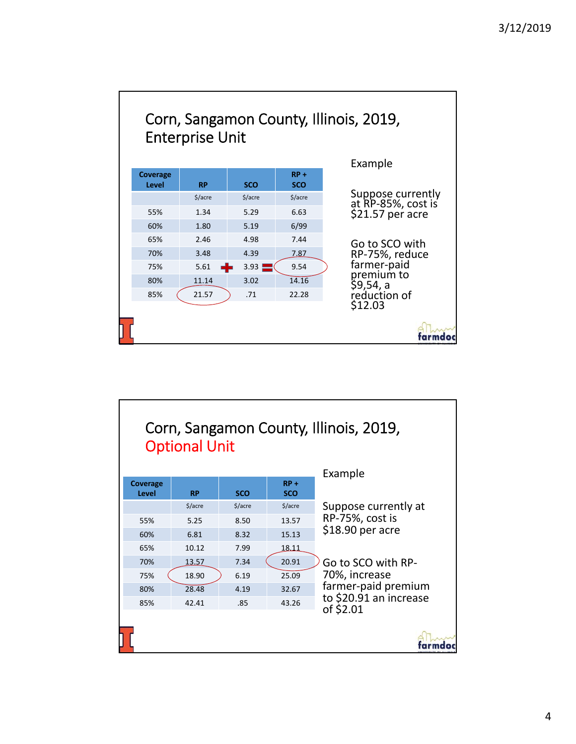

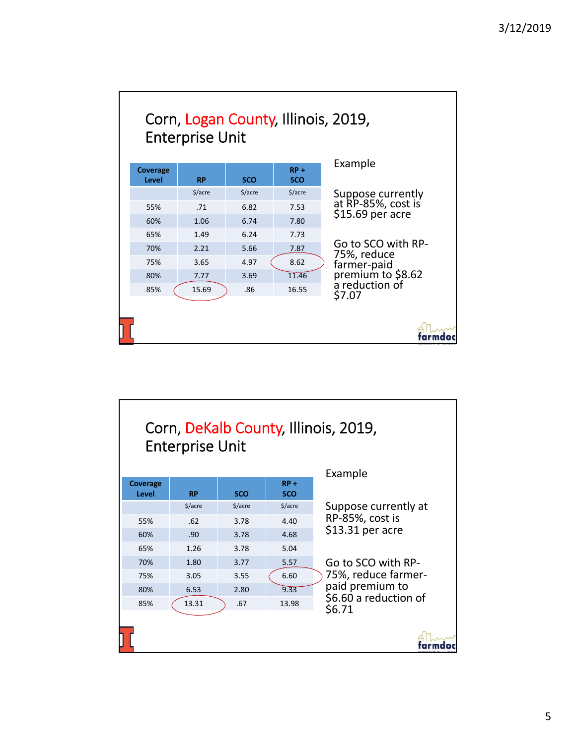

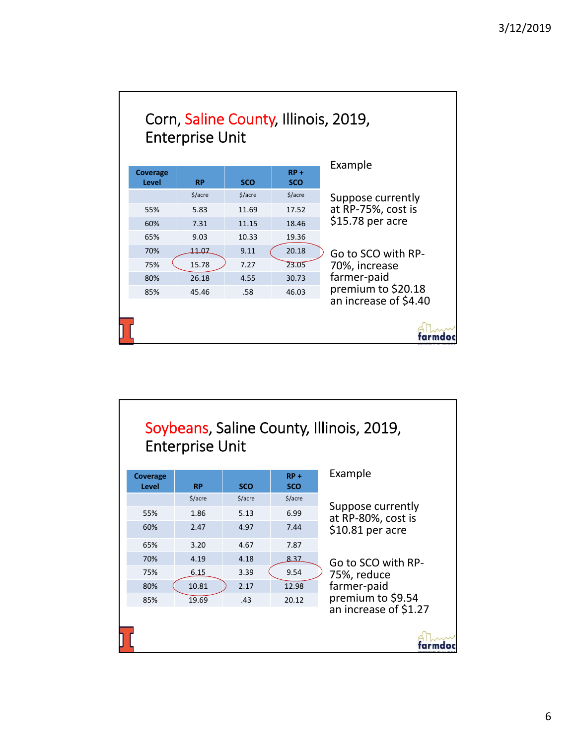